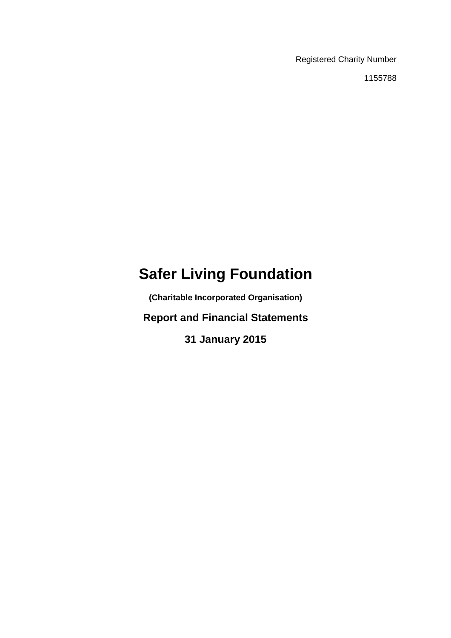Registered Charity Number

1155788

# **Safer Living Foundation**

**(Charitable Incorporated Organisation)** 

**Report and Financial Statements** 

**31 January 2015**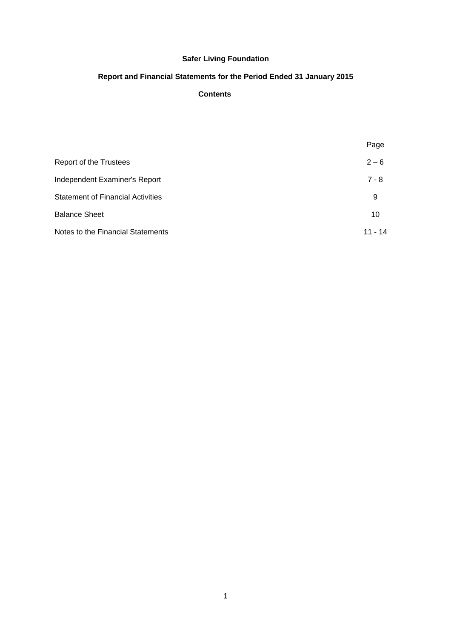# **Report and Financial Statements for the Period Ended 31 January 2015**

# **Contents**

|                                          | Page    |
|------------------------------------------|---------|
| Report of the Trustees                   | $2 - 6$ |
| Independent Examiner's Report            | $7 - 8$ |
| <b>Statement of Financial Activities</b> | 9       |
| <b>Balance Sheet</b>                     | 10      |
| Notes to the Financial Statements        | 11 - 14 |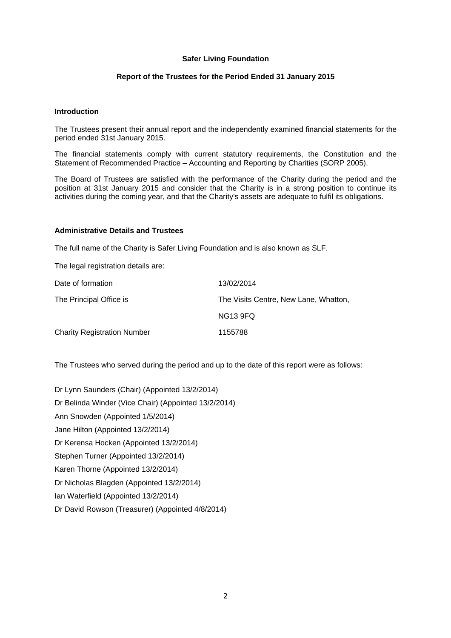# **Report of the Trustees for the Period Ended 31 January 2015**

#### **Introduction**

The Trustees present their annual report and the independently examined financial statements for the period ended 31st January 2015.

The financial statements comply with current statutory requirements, the Constitution and the Statement of Recommended Practice – Accounting and Reporting by Charities (SORP 2005).

The Board of Trustees are satisfied with the performance of the Charity during the period and the position at 31st January 2015 and consider that the Charity is in a strong position to continue its activities during the coming year, and that the Charity's assets are adequate to fulfil its obligations.

#### **Administrative Details and Trustees**

The full name of the Charity is Safer Living Foundation and is also known as SLF.

The legal registration details are:

| Date of formation                  | 13/02/2014                            |
|------------------------------------|---------------------------------------|
| The Principal Office is            | The Visits Centre, New Lane, Whatton, |
|                                    | <b>NG13 9FQ</b>                       |
| <b>Charity Registration Number</b> | 1155788                               |

The Trustees who served during the period and up to the date of this report were as follows:

Dr Lynn Saunders (Chair) (Appointed 13/2/2014) Dr Belinda Winder (Vice Chair) (Appointed 13/2/2014) Ann Snowden (Appointed 1/5/2014) Jane Hilton (Appointed 13/2/2014) Dr Kerensa Hocken (Appointed 13/2/2014) Stephen Turner (Appointed 13/2/2014) Karen Thorne (Appointed 13/2/2014) Dr Nicholas Blagden (Appointed 13/2/2014) Ian Waterfield (Appointed 13/2/2014) Dr David Rowson (Treasurer) (Appointed 4/8/2014)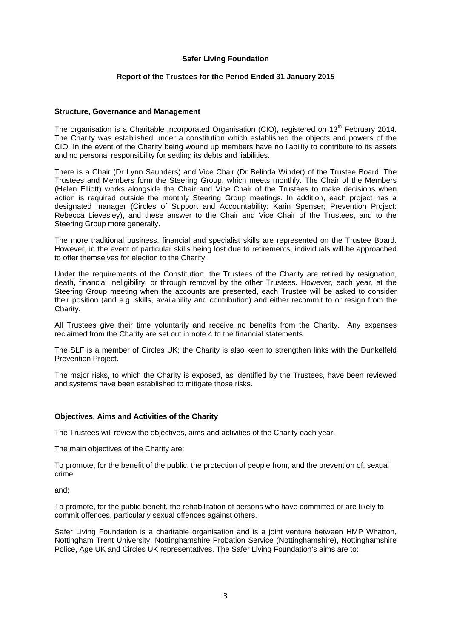## **Report of the Trustees for the Period Ended 31 January 2015**

# **Structure, Governance and Management**

The organisation is a Charitable Incorporated Organisation (CIO), registered on 13<sup>th</sup> February 2014. The Charity was established under a constitution which established the objects and powers of the CIO. In the event of the Charity being wound up members have no liability to contribute to its assets and no personal responsibility for settling its debts and liabilities.

There is a Chair (Dr Lynn Saunders) and Vice Chair (Dr Belinda Winder) of the Trustee Board. The Trustees and Members form the Steering Group, which meets monthly. The Chair of the Members (Helen Elliott) works alongside the Chair and Vice Chair of the Trustees to make decisions when action is required outside the monthly Steering Group meetings. In addition, each project has a designated manager (Circles of Support and Accountability: Karin Spenser; Prevention Project: Rebecca Lievesley), and these answer to the Chair and Vice Chair of the Trustees, and to the Steering Group more generally.

The more traditional business, financial and specialist skills are represented on the Trustee Board. However, in the event of particular skills being lost due to retirements, individuals will be approached to offer themselves for election to the Charity.

Under the requirements of the Constitution, the Trustees of the Charity are retired by resignation, death, financial ineligibility, or through removal by the other Trustees. However, each year, at the Steering Group meeting when the accounts are presented, each Trustee will be asked to consider their position (and e.g. skills, availability and contribution) and either recommit to or resign from the Charity.

All Trustees give their time voluntarily and receive no benefits from the Charity. Any expenses reclaimed from the Charity are set out in note 4 to the financial statements.

The SLF is a member of Circles UK; the Charity is also keen to strengthen links with the Dunkelfeld Prevention Project.

The major risks, to which the Charity is exposed, as identified by the Trustees, have been reviewed and systems have been established to mitigate those risks.

#### **Objectives, Aims and Activities of the Charity**

The Trustees will review the objectives, aims and activities of the Charity each year.

The main objectives of the Charity are:

To promote, for the benefit of the public, the protection of people from, and the prevention of, sexual crime

and;

To promote, for the public benefit, the rehabilitation of persons who have committed or are likely to commit offences, particularly sexual offences against others.

Safer Living Foundation is a charitable organisation and is a joint venture between HMP Whatton, Nottingham Trent University, Nottinghamshire Probation Service (Nottinghamshire), Nottinghamshire Police, Age UK and Circles UK representatives. The Safer Living Foundation's aims are to: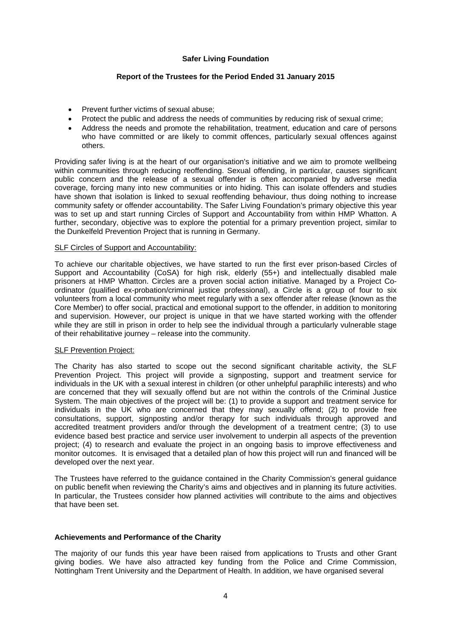# **Report of the Trustees for the Period Ended 31 January 2015**

- Prevent further victims of sexual abuse;
- Protect the public and address the needs of communities by reducing risk of sexual crime;
- Address the needs and promote the rehabilitation, treatment, education and care of persons who have committed or are likely to commit offences, particularly sexual offences against others.

Providing safer living is at the heart of our organisation's initiative and we aim to promote wellbeing within communities through reducing reoffending. Sexual offending, in particular, causes significant public concern and the release of a sexual offender is often accompanied by adverse media coverage, forcing many into new communities or into hiding. This can isolate offenders and studies have shown that isolation is linked to sexual reoffending behaviour, thus doing nothing to increase community safety or offender accountability. The Safer Living Foundation's primary objective this year was to set up and start running Circles of Support and Accountability from within HMP Whatton. A further, secondary, objective was to explore the potential for a primary prevention project, similar to the Dunkelfeld Prevention Project that is running in Germany.

#### SLF Circles of Support and Accountability:

To achieve our charitable objectives, we have started to run the first ever prison-based Circles of Support and Accountability (CoSA) for high risk, elderly (55+) and intellectually disabled male prisoners at HMP Whatton. Circles are a proven social action initiative. Managed by a Project Coordinator (qualified ex-probation/criminal justice professional), a Circle is a group of four to six volunteers from a local community who meet regularly with a sex offender after release (known as the Core Member) to offer social, practical and emotional support to the offender, in addition to monitoring and supervision. However, our project is unique in that we have started working with the offender while they are still in prison in order to help see the individual through a particularly vulnerable stage of their rehabilitative journey – release into the community.

#### SLF Prevention Project:

The Charity has also started to scope out the second significant charitable activity, the SLF Prevention Project. This project will provide a signposting, support and treatment service for individuals in the UK with a sexual interest in children (or other unhelpful paraphilic interests) and who are concerned that they will sexually offend but are not within the controls of the Criminal Justice System. The main objectives of the project will be: (1) to provide a support and treatment service for individuals in the UK who are concerned that they may sexually offend; (2) to provide free consultations, support, signposting and/or therapy for such individuals through approved and accredited treatment providers and/or through the development of a treatment centre; (3) to use evidence based best practice and service user involvement to underpin all aspects of the prevention project; (4) to research and evaluate the project in an ongoing basis to improve effectiveness and monitor outcomes. It is envisaged that a detailed plan of how this project will run and financed will be developed over the next year.

The Trustees have referred to the guidance contained in the Charity Commission's general guidance on public benefit when reviewing the Charity's aims and objectives and in planning its future activities. In particular, the Trustees consider how planned activities will contribute to the aims and objectives that have been set.

#### **Achievements and Performance of the Charity**

The majority of our funds this year have been raised from applications to Trusts and other Grant giving bodies. We have also attracted key funding from the Police and Crime Commission, Nottingham Trent University and the Department of Health. In addition, we have organised several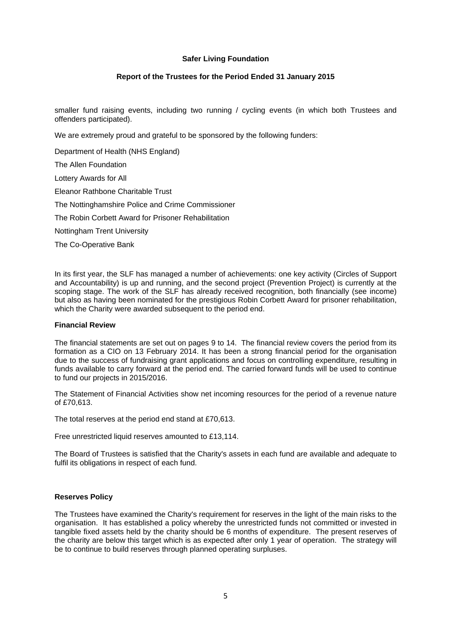# **Report of the Trustees for the Period Ended 31 January 2015**

smaller fund raising events, including two running / cycling events (in which both Trustees and offenders participated).

We are extremely proud and grateful to be sponsored by the following funders:

Department of Health (NHS England) The Allen Foundation Lottery Awards for All Eleanor Rathbone Charitable Trust The Nottinghamshire Police and Crime Commissioner The Robin Corbett Award for Prisoner Rehabilitation Nottingham Trent University The Co-Operative Bank

In its first year, the SLF has managed a number of achievements: one key activity (Circles of Support and Accountability) is up and running, and the second project (Prevention Project) is currently at the scoping stage. The work of the SLF has already received recognition, both financially (see income) but also as having been nominated for the prestigious Robin Corbett Award for prisoner rehabilitation, which the Charity were awarded subsequent to the period end.

#### **Financial Review**

The financial statements are set out on pages 9 to 14. The financial review covers the period from its formation as a CIO on 13 February 2014. It has been a strong financial period for the organisation due to the success of fundraising grant applications and focus on controlling expenditure, resulting in funds available to carry forward at the period end. The carried forward funds will be used to continue to fund our projects in 2015/2016.

The Statement of Financial Activities show net incoming resources for the period of a revenue nature of £70,613.

The total reserves at the period end stand at £70,613.

Free unrestricted liquid reserves amounted to £13,114.

The Board of Trustees is satisfied that the Charity's assets in each fund are available and adequate to fulfil its obligations in respect of each fund.

#### **Reserves Policy**

The Trustees have examined the Charity's requirement for reserves in the light of the main risks to the organisation. It has established a policy whereby the unrestricted funds not committed or invested in tangible fixed assets held by the charity should be 6 months of expenditure. The present reserves of the charity are below this target which is as expected after only 1 year of operation. The strategy will be to continue to build reserves through planned operating surpluses.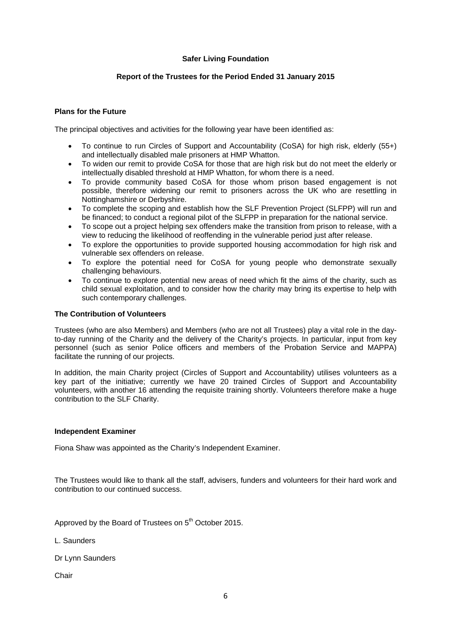# **Report of the Trustees for the Period Ended 31 January 2015**

## **Plans for the Future**

The principal objectives and activities for the following year have been identified as:

- To continue to run Circles of Support and Accountability (CoSA) for high risk, elderly (55+) and intellectually disabled male prisoners at HMP Whatton.
- To widen our remit to provide CoSA for those that are high risk but do not meet the elderly or intellectually disabled threshold at HMP Whatton, for whom there is a need.
- To provide community based CoSA for those whom prison based engagement is not possible, therefore widening our remit to prisoners across the UK who are resettling in Nottinghamshire or Derbyshire.
- To complete the scoping and establish how the SLF Prevention Project (SLFPP) will run and be financed; to conduct a regional pilot of the SLFPP in preparation for the national service.
- To scope out a project helping sex offenders make the transition from prison to release, with a view to reducing the likelihood of reoffending in the vulnerable period just after release.
- To explore the opportunities to provide supported housing accommodation for high risk and vulnerable sex offenders on release.
- To explore the potential need for CoSA for young people who demonstrate sexually challenging behaviours.
- To continue to explore potential new areas of need which fit the aims of the charity, such as child sexual exploitation, and to consider how the charity may bring its expertise to help with such contemporary challenges.

## **The Contribution of Volunteers**

Trustees (who are also Members) and Members (who are not all Trustees) play a vital role in the dayto-day running of the Charity and the delivery of the Charity's projects. In particular, input from key personnel (such as senior Police officers and members of the Probation Service and MAPPA) facilitate the running of our projects.

In addition, the main Charity project (Circles of Support and Accountability) utilises volunteers as a key part of the initiative; currently we have 20 trained Circles of Support and Accountability volunteers, with another 16 attending the requisite training shortly. Volunteers therefore make a huge contribution to the SLF Charity.

#### **Independent Examiner**

Fiona Shaw was appointed as the Charity's Independent Examiner.

The Trustees would like to thank all the staff, advisers, funders and volunteers for their hard work and contribution to our continued success.

Approved by the Board of Trustees on 5<sup>th</sup> October 2015.

L. Saunders

Dr Lynn Saunders

**Chair**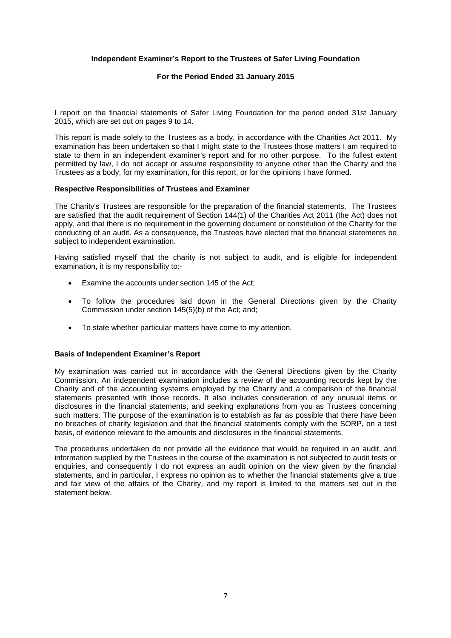# **Independent Examiner's Report to the Trustees of Safer Living Foundation**

## **For the Period Ended 31 January 2015**

I report on the financial statements of Safer Living Foundation for the period ended 31st January 2015, which are set out on pages 9 to 14.

This report is made solely to the Trustees as a body, in accordance with the Charities Act 2011. My examination has been undertaken so that I might state to the Trustees those matters I am required to state to them in an independent examiner's report and for no other purpose. To the fullest extent permitted by law, I do not accept or assume responsibility to anyone other than the Charity and the Trustees as a body, for my examination, for this report, or for the opinions I have formed.

#### **Respective Responsibilities of Trustees and Examiner**

The Charity's Trustees are responsible for the preparation of the financial statements. The Trustees are satisfied that the audit requirement of Section 144(1) of the Charities Act 2011 (the Act) does not apply, and that there is no requirement in the governing document or constitution of the Charity for the conducting of an audit. As a consequence, the Trustees have elected that the financial statements be subject to independent examination.

Having satisfied myself that the charity is not subject to audit, and is eligible for independent examination, it is my responsibility to:-

- Examine the accounts under section 145 of the Act;
- To follow the procedures laid down in the General Directions given by the Charity Commission under section 145(5)(b) of the Act; and;
- To state whether particular matters have come to my attention.

### **Basis of Independent Examiner's Report**

My examination was carried out in accordance with the General Directions given by the Charity Commission. An independent examination includes a review of the accounting records kept by the Charity and of the accounting systems employed by the Charity and a comparison of the financial statements presented with those records. It also includes consideration of any unusual items or disclosures in the financial statements, and seeking explanations from you as Trustees concerning such matters. The purpose of the examination is to establish as far as possible that there have been no breaches of charity legislation and that the financial statements comply with the SORP, on a test basis, of evidence relevant to the amounts and disclosures in the financial statements.

The procedures undertaken do not provide all the evidence that would be required in an audit, and information supplied by the Trustees in the course of the examination is not subjected to audit tests or enquiries, and consequently I do not express an audit opinion on the view given by the financial statements, and in particular, I express no opinion as to whether the financial statements give a true and fair view of the affairs of the Charity, and my report is limited to the matters set out in the statement below.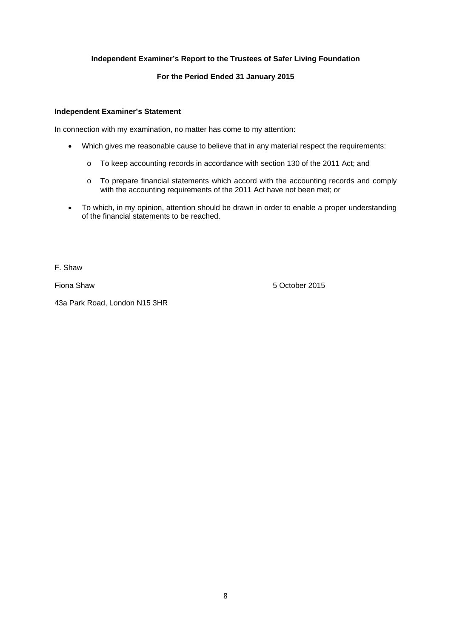# **Independent Examiner's Report to the Trustees of Safer Living Foundation**

# **For the Period Ended 31 January 2015**

## **Independent Examiner's Statement**

In connection with my examination, no matter has come to my attention:

- Which gives me reasonable cause to believe that in any material respect the requirements:
	- o To keep accounting records in accordance with section 130 of the 2011 Act; and
	- o To prepare financial statements which accord with the accounting records and comply with the accounting requirements of the 2011 Act have not been met; or
- To which, in my opinion, attention should be drawn in order to enable a proper understanding of the financial statements to be reached.

F. Shaw

Fiona Shaw 5 October 2015

43a Park Road, London N15 3HR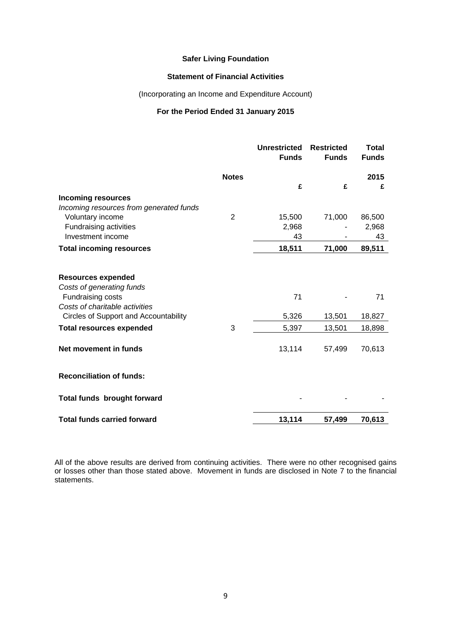# **Statement of Financial Activities**

(Incorporating an Income and Expenditure Account)

## **For the Period Ended 31 January 2015**

|                                                        |                | <b>Unrestricted</b><br><b>Funds</b> | <b>Restricted</b><br><b>Funds</b> | Total<br><b>Funds</b> |
|--------------------------------------------------------|----------------|-------------------------------------|-----------------------------------|-----------------------|
|                                                        | <b>Notes</b>   | £                                   | £                                 | 2015<br>£             |
| <b>Incoming resources</b>                              |                |                                     |                                   |                       |
| Incoming resources from generated funds                |                |                                     |                                   |                       |
| Voluntary income                                       | $\overline{2}$ | 15,500                              | 71,000                            | 86,500                |
| Fundraising activities                                 |                | 2,968                               |                                   | 2,968                 |
| Investment income                                      |                | 43                                  |                                   | 43                    |
| <b>Total incoming resources</b>                        |                | 18,511                              | 71,000                            | 89,511                |
| <b>Resources expended</b><br>Costs of generating funds |                |                                     |                                   |                       |
| Fundraising costs                                      |                | 71                                  |                                   | 71                    |
| Costs of charitable activities                         |                |                                     |                                   |                       |
| Circles of Support and Accountability                  |                | 5,326                               | 13,501                            | 18,827                |
| <b>Total resources expended</b>                        | 3              | 5,397                               | 13,501                            | 18,898                |
| Net movement in funds                                  |                | 13,114                              | 57,499                            | 70,613                |
| <b>Reconciliation of funds:</b>                        |                |                                     |                                   |                       |
| Total funds brought forward                            |                |                                     |                                   |                       |
| <b>Total funds carried forward</b>                     |                | 13,114                              | 57,499                            | 70,613                |

All of the above results are derived from continuing activities. There were no other recognised gains or losses other than those stated above. Movement in funds are disclosed in Note 7 to the financial statements.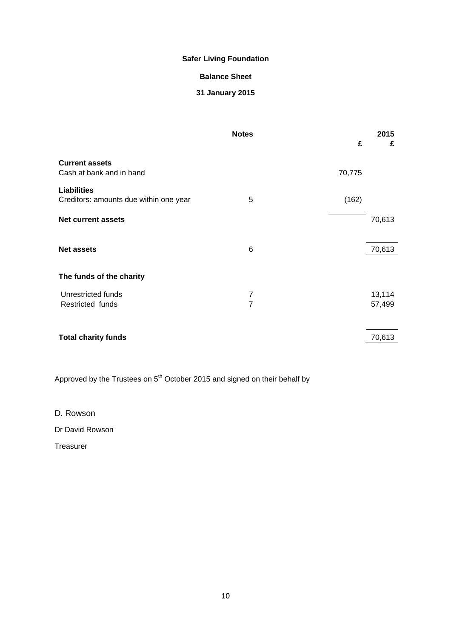# **Balance Sheet**

# **31 January 2015**

|                                                   | <b>Notes</b>   | £      | 2015<br>£ |
|---------------------------------------------------|----------------|--------|-----------|
| <b>Current assets</b><br>Cash at bank and in hand |                |        |           |
|                                                   |                | 70,775 |           |
| <b>Liabilities</b>                                |                |        |           |
| Creditors: amounts due within one year            | 5              | (162)  |           |
| <b>Net current assets</b>                         |                |        | 70,613    |
|                                                   | 6              |        | 70,613    |
| <b>Net assets</b>                                 |                |        |           |
| The funds of the charity                          |                |        |           |
| Unrestricted funds                                | 7              |        | 13,114    |
| Restricted funds                                  | $\overline{7}$ |        | 57,499    |
| <b>Total charity funds</b>                        |                |        | 70,613    |

Approved by the Trustees on 5<sup>th</sup> October 2015 and signed on their behalf by

D. Rowson

Dr David Rowson

Treasurer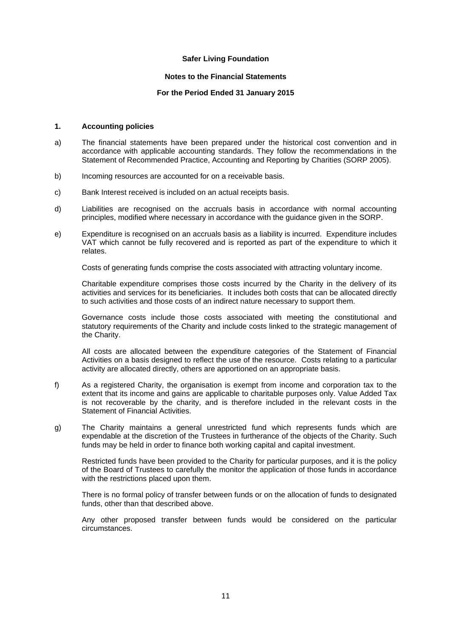### **Notes to the Financial Statements**

## **For the Period Ended 31 January 2015**

#### **1. Accounting policies**

- a) The financial statements have been prepared under the historical cost convention and in accordance with applicable accounting standards. They follow the recommendations in the Statement of Recommended Practice, Accounting and Reporting by Charities (SORP 2005).
- b) Incoming resources are accounted for on a receivable basis.
- c) Bank Interest received is included on an actual receipts basis.
- d) Liabilities are recognised on the accruals basis in accordance with normal accounting principles, modified where necessary in accordance with the guidance given in the SORP.
- e) Expenditure is recognised on an accruals basis as a liability is incurred. Expenditure includes VAT which cannot be fully recovered and is reported as part of the expenditure to which it relates.

Costs of generating funds comprise the costs associated with attracting voluntary income.

Charitable expenditure comprises those costs incurred by the Charity in the delivery of its activities and services for its beneficiaries. It includes both costs that can be allocated directly to such activities and those costs of an indirect nature necessary to support them.

Governance costs include those costs associated with meeting the constitutional and statutory requirements of the Charity and include costs linked to the strategic management of the Charity.

All costs are allocated between the expenditure categories of the Statement of Financial Activities on a basis designed to reflect the use of the resource. Costs relating to a particular activity are allocated directly, others are apportioned on an appropriate basis.

- f) As a registered Charity, the organisation is exempt from income and corporation tax to the extent that its income and gains are applicable to charitable purposes only. Value Added Tax is not recoverable by the charity, and is therefore included in the relevant costs in the Statement of Financial Activities.
- g) The Charity maintains a general unrestricted fund which represents funds which are expendable at the discretion of the Trustees in furtherance of the objects of the Charity. Such funds may be held in order to finance both working capital and capital investment.

Restricted funds have been provided to the Charity for particular purposes, and it is the policy of the Board of Trustees to carefully the monitor the application of those funds in accordance with the restrictions placed upon them.

There is no formal policy of transfer between funds or on the allocation of funds to designated funds, other than that described above.

Any other proposed transfer between funds would be considered on the particular circumstances.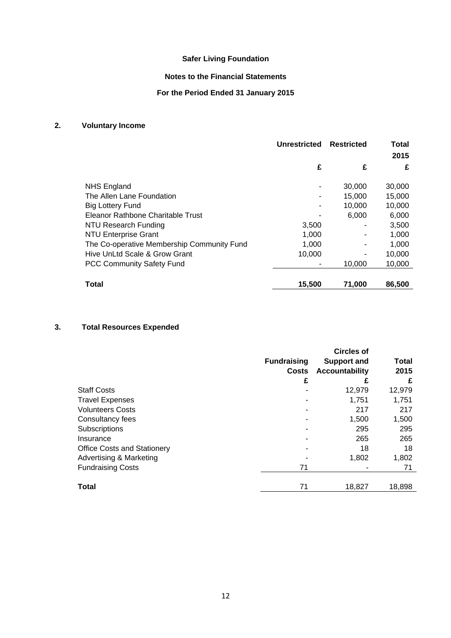# **Notes to the Financial Statements**

# **For the Period Ended 31 January 2015**

# **2. Voluntary Income**

|                                            | <b>Unrestricted</b> | <b>Restricted</b> | Total<br>2015 |
|--------------------------------------------|---------------------|-------------------|---------------|
|                                            | £                   | £                 | £             |
| <b>NHS England</b>                         |                     | 30,000            | 30,000        |
| The Allen Lane Foundation                  |                     | 15,000            | 15,000        |
| Big Lottery Fund                           |                     | 10.000            | 10,000        |
| Eleanor Rathbone Charitable Trust          |                     | 6,000             | 6,000         |
| NTU Research Funding                       | 3,500               |                   | 3,500         |
| <b>NTU Enterprise Grant</b>                | 1,000               |                   | 1,000         |
| The Co-operative Membership Community Fund | 1,000               |                   | 1,000         |
| Hive UnLtd Scale & Grow Grant              | 10,000              |                   | 10,000        |
| <b>PCC Community Safety Fund</b>           |                     | 10.000            | 10,000        |
| <b>Total</b>                               | 15,500              | 71.000            | 86,500        |

# **3. Total Resources Expended**

|                                    |                    | <b>Circles of</b>     |        |
|------------------------------------|--------------------|-----------------------|--------|
|                                    | <b>Fundraising</b> | <b>Support and</b>    | Total  |
|                                    | <b>Costs</b>       | <b>Accountability</b> | 2015   |
|                                    | £                  | £                     | £      |
| <b>Staff Costs</b>                 |                    | 12,979                | 12,979 |
| <b>Travel Expenses</b>             |                    | 1,751                 | 1,751  |
| <b>Volunteers Costs</b>            |                    | 217                   | 217    |
| Consultancy fees                   |                    | 1,500                 | 1,500  |
| Subscriptions                      |                    | 295                   | 295    |
| Insurance                          |                    | 265                   | 265    |
| <b>Office Costs and Stationery</b> |                    | 18                    | 18     |
| <b>Advertising &amp; Marketing</b> |                    | 1,802                 | 1,802  |
| <b>Fundraising Costs</b>           | 71                 |                       | 71     |
| <b>Total</b>                       | 71                 | 18.827                | 18,898 |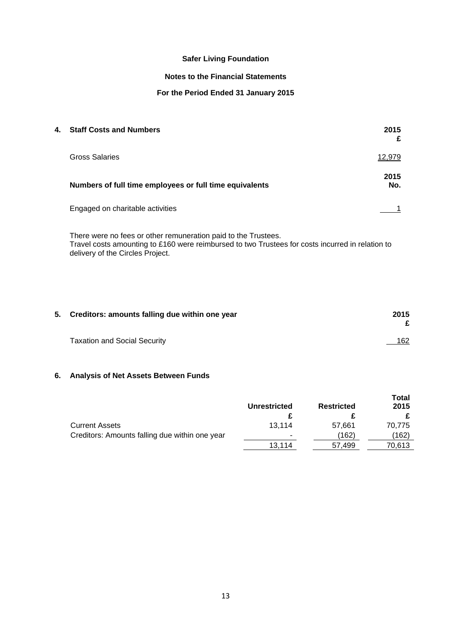# **Notes to the Financial Statements**

# **For the Period Ended 31 January 2015**

| 4. | <b>Staff Costs and Numbers</b>                          | 2015<br>£   |
|----|---------------------------------------------------------|-------------|
|    | Gross Salaries                                          | 12,979      |
|    | Numbers of full time employees or full time equivalents | 2015<br>No. |
|    | Engaged on charitable activities                        |             |
|    |                                                         |             |

There were no fees or other remuneration paid to the Trustees. Travel costs amounting to £160 were reimbursed to two Trustees for costs incurred in relation to delivery of the Circles Project.

| 5. Creditors: amounts falling due within one year | 2015   |
|---------------------------------------------------|--------|
| <b>Taxation and Social Security</b>               | $-162$ |

# **6. Analysis of Net Assets Between Funds**

|                                                | <b>Unrestricted</b> | <b>Restricted</b> | <b>Total</b><br>2015 |
|------------------------------------------------|---------------------|-------------------|----------------------|
|                                                |                     |                   |                      |
| <b>Current Assets</b>                          | 13.114              | 57.661            | 70.775               |
| Creditors: Amounts falling due within one year | ۰                   | (162)             | (162)                |
|                                                | 13.114              | 57.499            | 70,613               |